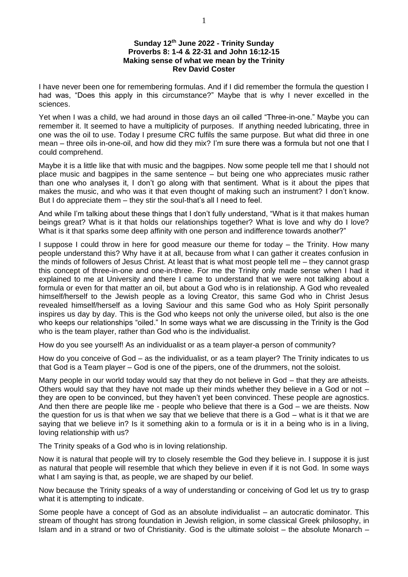## **Sunday 12th June 2022 - Trinity Sunday Proverbs 8: 1-4 & 22-31 and John 16:12-15 Making sense of what we mean by the Trinity Rev David Coster**

I have never been one for remembering formulas. And if I did remember the formula the question I had was, "Does this apply in this circumstance?" Maybe that is why I never excelled in the sciences.

Yet when I was a child, we had around in those days an oil called "Three-in-one." Maybe you can remember it. It seemed to have a multiplicity of purposes. If anything needed lubricating, three in one was the oil to use. Today I presume CRC fulfils the same purpose. But what did three in one mean – three oils in-one-oil, and how did they mix? I'm sure there was a formula but not one that I could comprehend.

Maybe it is a little like that with music and the bagpipes. Now some people tell me that I should not place music and bagpipes in the same sentence – but being one who appreciates music rather than one who analyses it, I don't go along with that sentiment. What is it about the pipes that makes the music, and who was it that even thought of making such an instrument? I don't know. But I do appreciate them – they stir the soul-that's all I need to feel.

And while I'm talking about these things that I don't fully understand, "What is it that makes human beings great? What is it that holds our relationships together? What is love and why do I love? What is it that sparks some deep affinity with one person and indifference towards another?"

I suppose I could throw in here for good measure our theme for today – the Trinity. How many people understand this? Why have it at all, because from what I can gather it creates confusion in the minds of followers of Jesus Christ. At least that is what most people tell me – they cannot grasp this concept of three-in-one and one-in-three. For me the Trinity only made sense when I had it explained to me at University and there I came to understand that we were not talking about a formula or even for that matter an oil, but about a God who is in relationship. A God who revealed himself/herself to the Jewish people as a loving Creator, this same God who in Christ Jesus revealed himself/herself as a loving Saviour and this same God who as Holy Spirit personally inspires us day by day. This is the God who keeps not only the universe oiled, but also is the one who keeps our relationships "oiled." In some ways what we are discussing in the Trinity is the God who is the team player, rather than God who is the individualist.

How do you see yourself! As an individualist or as a team player-a person of community?

How do you conceive of God – as the individualist, or as a team player? The Trinity indicates to us that God is a Team player – God is one of the pipers, one of the drummers, not the soloist.

Many people in our world today would say that they do not believe in God – that they are atheists. Others would say that they have not made up their minds whether they believe in a God or not  $$ they are open to be convinced, but they haven't yet been convinced. These people are agnostics. And then there are people like me - people who believe that there is a God – we are theists. Now the question for us is that when we say that we believe that there is a God – what is it that we are saying that we believe in? Is it something akin to a formula or is it in a being who is in a living, loving relationship with us?

The Trinity speaks of a God who is in loving relationship.

Now it is natural that people will try to closely resemble the God they believe in. I suppose it is just as natural that people will resemble that which they believe in even if it is not God. In some ways what I am saying is that, as people, we are shaped by our belief.

Now because the Trinity speaks of a way of understanding or conceiving of God let us try to grasp what it is attempting to indicate.

Some people have a concept of God as an absolute individualist – an autocratic dominator. This stream of thought has strong foundation in Jewish religion, in some classical Greek philosophy, in Islam and in a strand or two of Christianity. God is the ultimate soloist – the absolute Monarch –